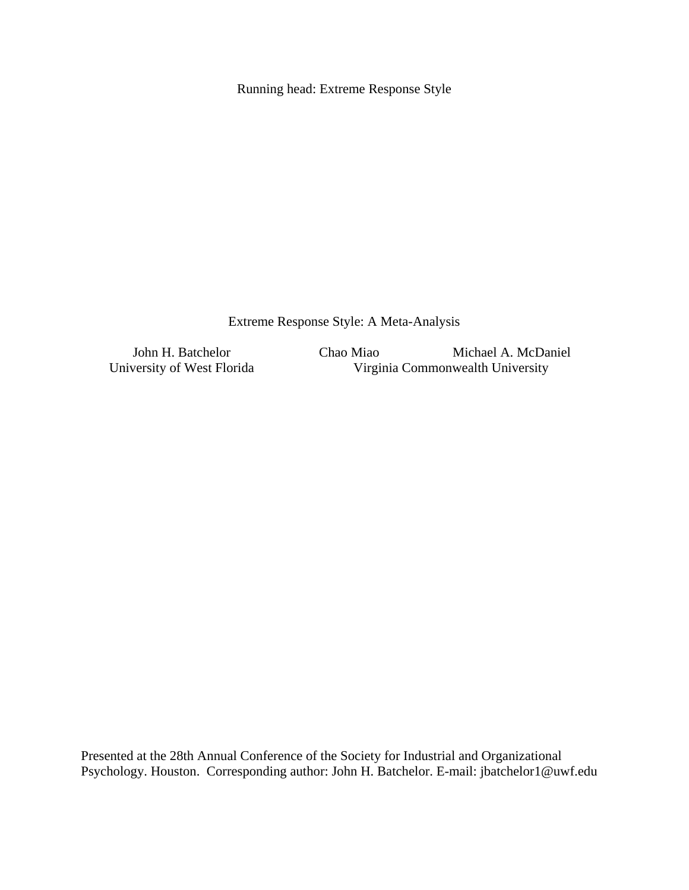Running head: Extreme Response Style

Extreme Response Style: A Meta-Analysis

John H. Batchelor Chao Miao Michael A. McDaniel<br>University of West Florida Virginia Commonwealth University Virginia Commonwealth University

Presented at the 28th Annual Conference of the Society for Industrial and Organizational Psychology. Houston. Corresponding author: John H. Batchelor. E-mail: jbatchelor1@uwf.edu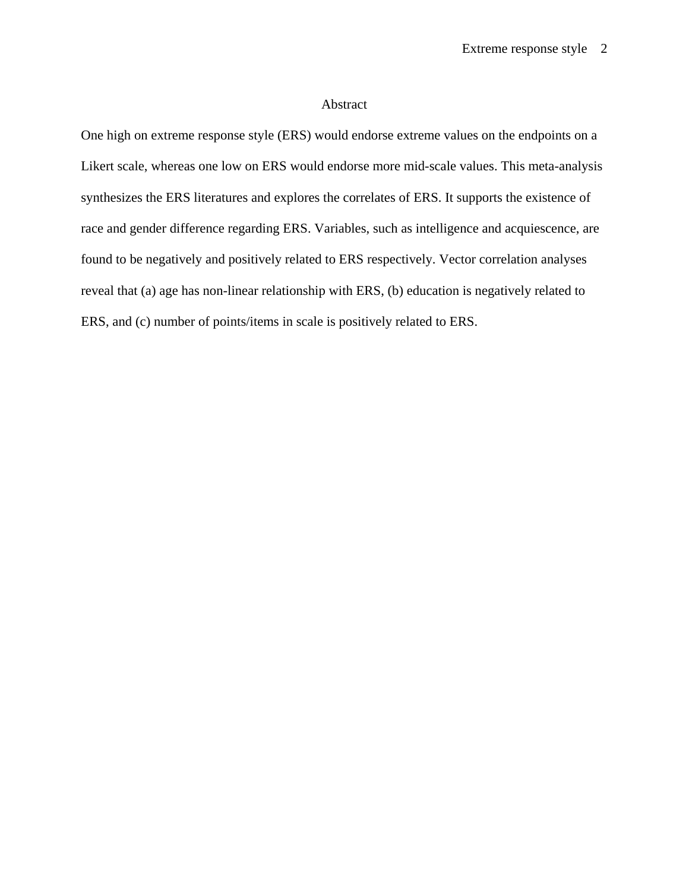### Abstract

One high on extreme response style (ERS) would endorse extreme values on the endpoints on a Likert scale, whereas one low on ERS would endorse more mid-scale values. This meta-analysis synthesizes the ERS literatures and explores the correlates of ERS. It supports the existence of race and gender difference regarding ERS. Variables, such as intelligence and acquiescence, are found to be negatively and positively related to ERS respectively. Vector correlation analyses reveal that (a) age has non-linear relationship with ERS, (b) education is negatively related to ERS, and (c) number of points/items in scale is positively related to ERS.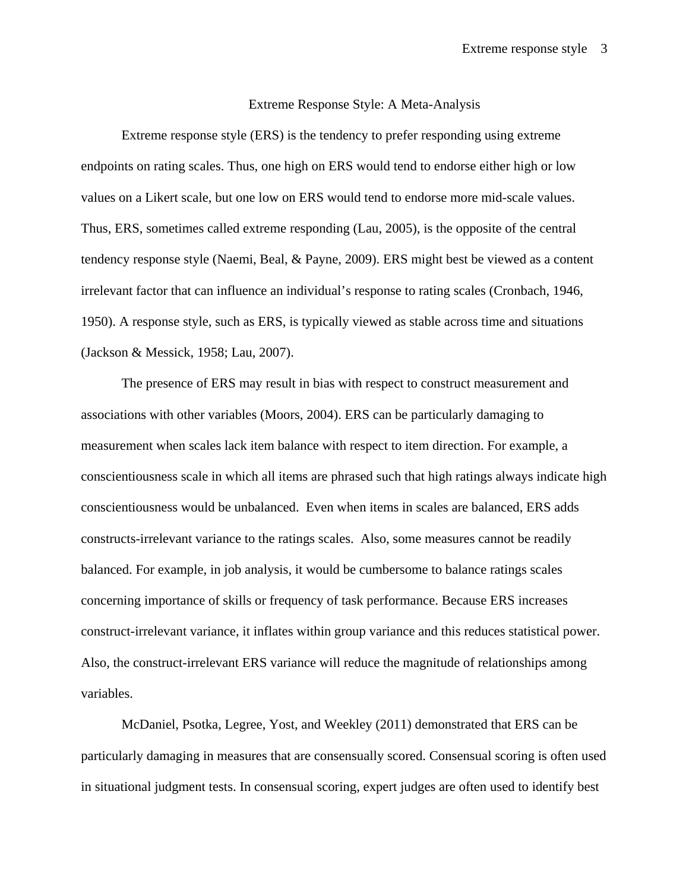### Extreme Response Style: A Meta-Analysis

Extreme response style (ERS) is the tendency to prefer responding using extreme endpoints on rating scales. Thus, one high on ERS would tend to endorse either high or low values on a Likert scale, but one low on ERS would tend to endorse more mid-scale values. Thus, ERS, sometimes called extreme responding (Lau, 2005), is the opposite of the central tendency response style (Naemi, Beal, & Payne, 2009). ERS might best be viewed as a content irrelevant factor that can influence an individual's response to rating scales (Cronbach, 1946, 1950). A response style, such as ERS, is typically viewed as stable across time and situations (Jackson & Messick, 1958; Lau, 2007).

The presence of ERS may result in bias with respect to construct measurement and associations with other variables (Moors, 2004). ERS can be particularly damaging to measurement when scales lack item balance with respect to item direction. For example, a conscientiousness scale in which all items are phrased such that high ratings always indicate high conscientiousness would be unbalanced. Even when items in scales are balanced, ERS adds constructs-irrelevant variance to the ratings scales. Also, some measures cannot be readily balanced. For example, in job analysis, it would be cumbersome to balance ratings scales concerning importance of skills or frequency of task performance. Because ERS increases construct-irrelevant variance, it inflates within group variance and this reduces statistical power. Also, the construct-irrelevant ERS variance will reduce the magnitude of relationships among variables.

McDaniel, Psotka, Legree, Yost, and Weekley (2011) demonstrated that ERS can be particularly damaging in measures that are consensually scored. Consensual scoring is often used in situational judgment tests. In consensual scoring, expert judges are often used to identify best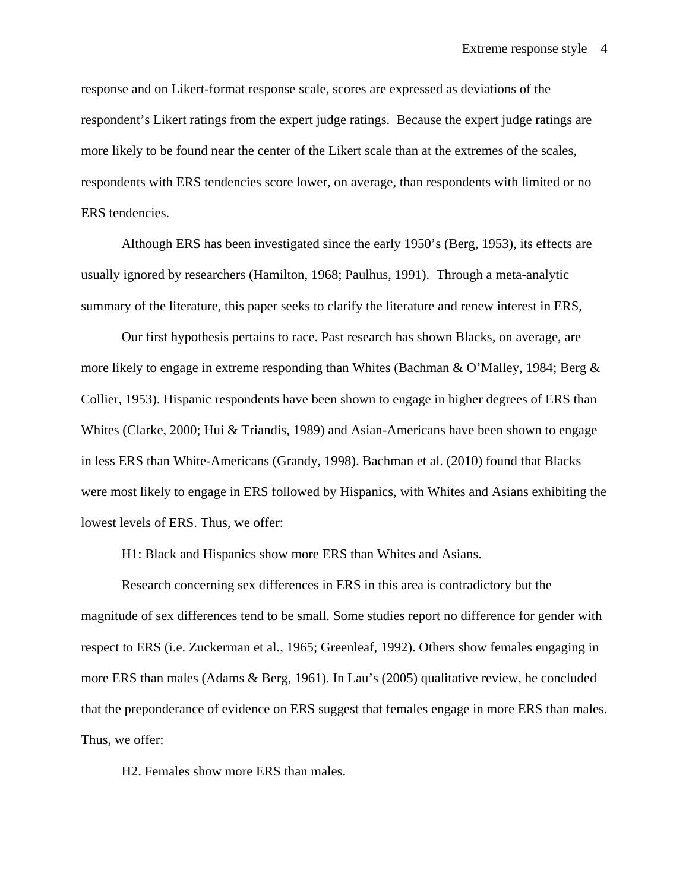response and on Likert-format response scale, scores are expressed as deviations of the respondent's Likert ratings from the expert judge ratings. Because the expert judge ratings are more likely to be found near the center of the Likert scale than at the extremes of the scales, respondents with ERS tendencies score lower, on average, than respondents with limited or no ERS tendencies.

Although ERS has been investigated since the early 1950's (Berg, 1953), its effects are usually ignored by researchers (Hamilton, 1968; Paulhus, 1991). Through a meta-analytic summary of the literature, this paper seeks to clarify the literature and renew interest in ERS,

Our first hypothesis pertains to race. Past research has shown Blacks, on average, are more likely to engage in extreme responding than Whites (Bachman & O'Malley, 1984; Berg & Collier, 1953). Hispanic respondents have been shown to engage in higher degrees of ERS than Whites (Clarke, 2000; Hui & Triandis, 1989) and Asian-Americans have been shown to engage in less ERS than White-Americans (Grandy, 1998). Bachman et al. (2010) found that Blacks were most likely to engage in ERS followed by Hispanics, with Whites and Asians exhibiting the lowest levels of ERS. Thus, we offer:

H1: Black and Hispanics show more ERS than Whites and Asians.

 Research concerning sex differences in ERS in this area is contradictory but the magnitude of sex differences tend to be small. Some studies report no difference for gender with respect to ERS (i.e. Zuckerman et al., 1965; Greenleaf, 1992). Others show females engaging in more ERS than males (Adams & Berg, 1961). In Lau's (2005) qualitative review, he concluded that the preponderance of evidence on ERS suggest that females engage in more ERS than males. Thus, we offer:

H2. Females show more ERS than males.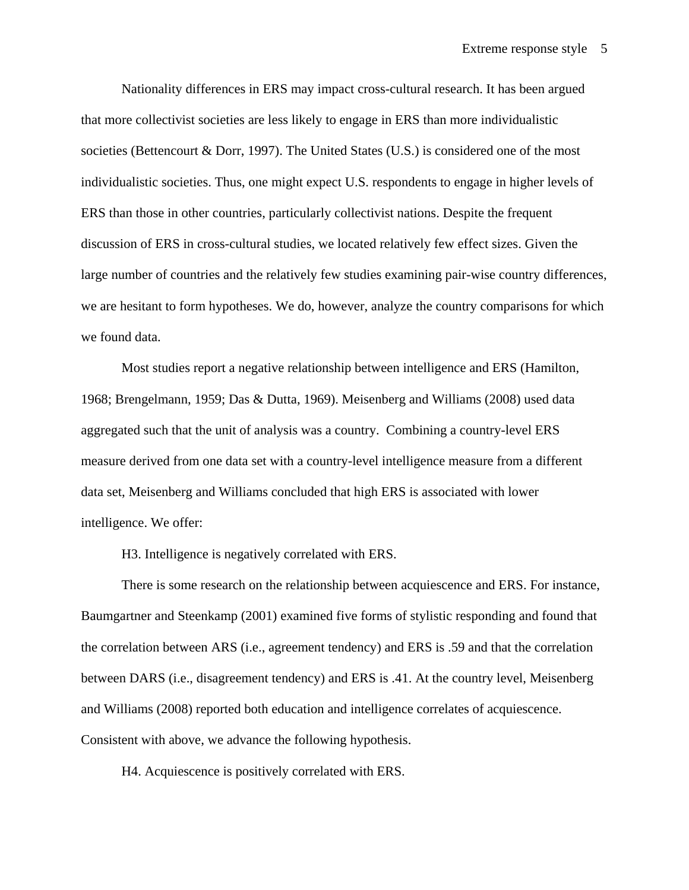Nationality differences in ERS may impact cross-cultural research. It has been argued that more collectivist societies are less likely to engage in ERS than more individualistic societies (Bettencourt & Dorr, 1997). The United States (U.S.) is considered one of the most individualistic societies. Thus, one might expect U.S. respondents to engage in higher levels of ERS than those in other countries, particularly collectivist nations. Despite the frequent discussion of ERS in cross-cultural studies, we located relatively few effect sizes. Given the large number of countries and the relatively few studies examining pair-wise country differences, we are hesitant to form hypotheses. We do, however, analyze the country comparisons for which we found data.

Most studies report a negative relationship between intelligence and ERS (Hamilton, 1968; Brengelmann, 1959; Das & Dutta, 1969). Meisenberg and Williams (2008) used data aggregated such that the unit of analysis was a country. Combining a country-level ERS measure derived from one data set with a country-level intelligence measure from a different data set, Meisenberg and Williams concluded that high ERS is associated with lower intelligence. We offer:

H3. Intelligence is negatively correlated with ERS.

There is some research on the relationship between acquiescence and ERS. For instance, Baumgartner and Steenkamp (2001) examined five forms of stylistic responding and found that the correlation between ARS (i.e., agreement tendency) and ERS is .59 and that the correlation between DARS (i.e., disagreement tendency) and ERS is .41. At the country level, Meisenberg and Williams (2008) reported both education and intelligence correlates of acquiescence. Consistent with above, we advance the following hypothesis.

H4. Acquiescence is positively correlated with ERS.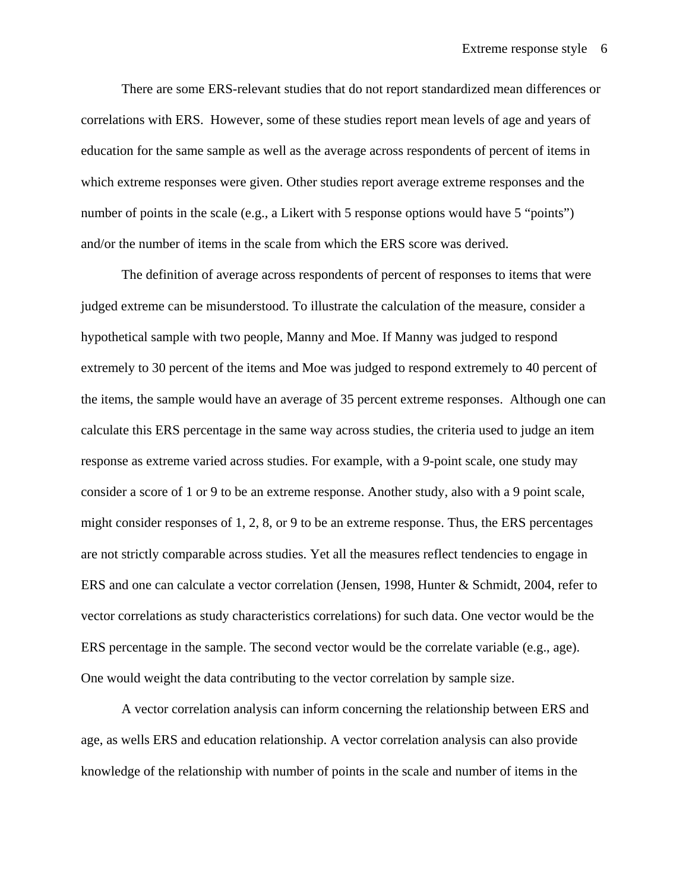There are some ERS-relevant studies that do not report standardized mean differences or correlations with ERS. However, some of these studies report mean levels of age and years of education for the same sample as well as the average across respondents of percent of items in which extreme responses were given. Other studies report average extreme responses and the number of points in the scale (e.g., a Likert with 5 response options would have 5 "points") and/or the number of items in the scale from which the ERS score was derived.

The definition of average across respondents of percent of responses to items that were judged extreme can be misunderstood. To illustrate the calculation of the measure, consider a hypothetical sample with two people, Manny and Moe. If Manny was judged to respond extremely to 30 percent of the items and Moe was judged to respond extremely to 40 percent of the items, the sample would have an average of 35 percent extreme responses. Although one can calculate this ERS percentage in the same way across studies, the criteria used to judge an item response as extreme varied across studies. For example, with a 9-point scale, one study may consider a score of 1 or 9 to be an extreme response. Another study, also with a 9 point scale, might consider responses of 1, 2, 8, or 9 to be an extreme response. Thus, the ERS percentages are not strictly comparable across studies. Yet all the measures reflect tendencies to engage in ERS and one can calculate a vector correlation (Jensen, 1998, Hunter & Schmidt, 2004, refer to vector correlations as study characteristics correlations) for such data. One vector would be the ERS percentage in the sample. The second vector would be the correlate variable (e.g., age). One would weight the data contributing to the vector correlation by sample size.

A vector correlation analysis can inform concerning the relationship between ERS and age, as wells ERS and education relationship. A vector correlation analysis can also provide knowledge of the relationship with number of points in the scale and number of items in the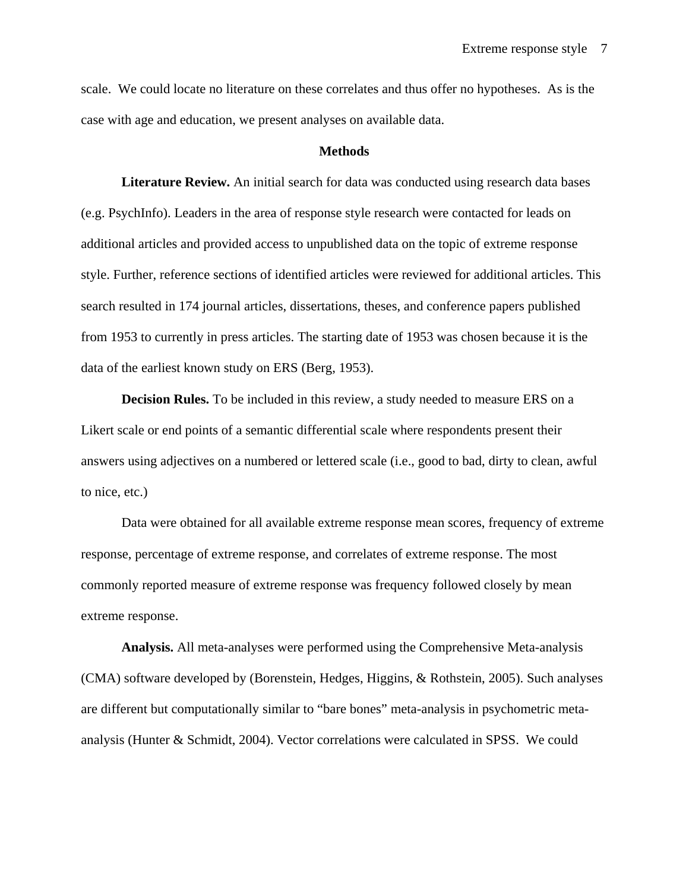scale. We could locate no literature on these correlates and thus offer no hypotheses. As is the case with age and education, we present analyses on available data.

#### **Methods**

**Literature Review.** An initial search for data was conducted using research data bases (e.g. PsychInfo). Leaders in the area of response style research were contacted for leads on additional articles and provided access to unpublished data on the topic of extreme response style. Further, reference sections of identified articles were reviewed for additional articles. This search resulted in 174 journal articles, dissertations, theses, and conference papers published from 1953 to currently in press articles. The starting date of 1953 was chosen because it is the data of the earliest known study on ERS (Berg, 1953).

**Decision Rules.** To be included in this review, a study needed to measure ERS on a Likert scale or end points of a semantic differential scale where respondents present their answers using adjectives on a numbered or lettered scale (i.e., good to bad, dirty to clean, awful to nice, etc.)

Data were obtained for all available extreme response mean scores, frequency of extreme response, percentage of extreme response, and correlates of extreme response. The most commonly reported measure of extreme response was frequency followed closely by mean extreme response.

**Analysis.** All meta-analyses were performed using the Comprehensive Meta-analysis (CMA) software developed by (Borenstein, Hedges, Higgins, & Rothstein, 2005). Such analyses are different but computationally similar to "bare bones" meta-analysis in psychometric metaanalysis (Hunter & Schmidt, 2004). Vector correlations were calculated in SPSS. We could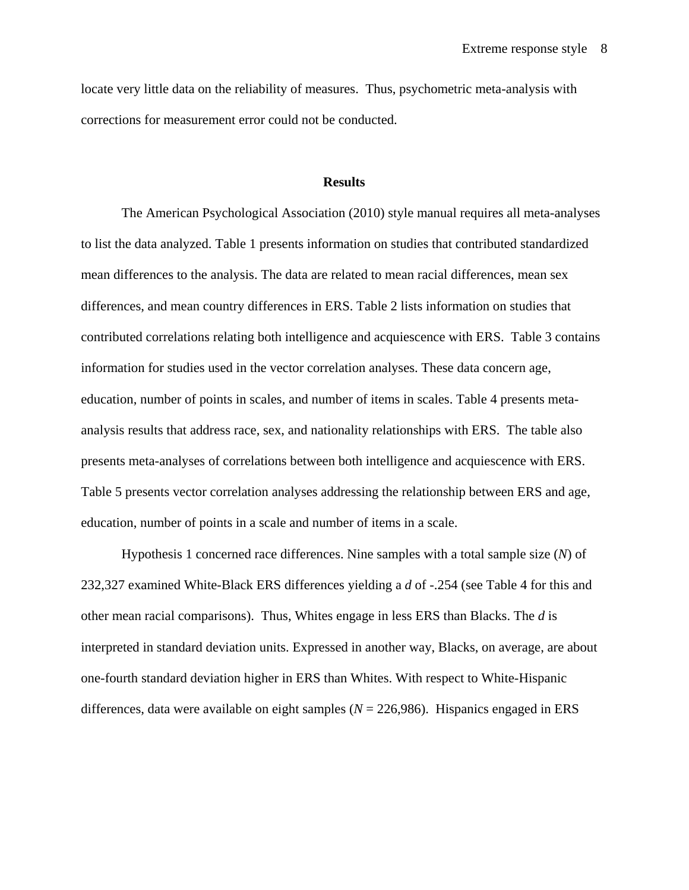locate very little data on the reliability of measures. Thus, psychometric meta-analysis with corrections for measurement error could not be conducted.

#### **Results**

 The American Psychological Association (2010) style manual requires all meta-analyses to list the data analyzed. Table 1 presents information on studies that contributed standardized mean differences to the analysis. The data are related to mean racial differences, mean sex differences, and mean country differences in ERS. Table 2 lists information on studies that contributed correlations relating both intelligence and acquiescence with ERS. Table 3 contains information for studies used in the vector correlation analyses. These data concern age, education, number of points in scales, and number of items in scales. Table 4 presents metaanalysis results that address race, sex, and nationality relationships with ERS. The table also presents meta-analyses of correlations between both intelligence and acquiescence with ERS. Table 5 presents vector correlation analyses addressing the relationship between ERS and age, education, number of points in a scale and number of items in a scale.

Hypothesis 1 concerned race differences. Nine samples with a total sample size (*N*) of 232,327 examined White-Black ERS differences yielding a *d* of -.254 (see Table 4 for this and other mean racial comparisons). Thus, Whites engage in less ERS than Blacks. The *d* is interpreted in standard deviation units. Expressed in another way, Blacks, on average, are about one-fourth standard deviation higher in ERS than Whites. With respect to White-Hispanic differences, data were available on eight samples (*N* = 226,986). Hispanics engaged in ERS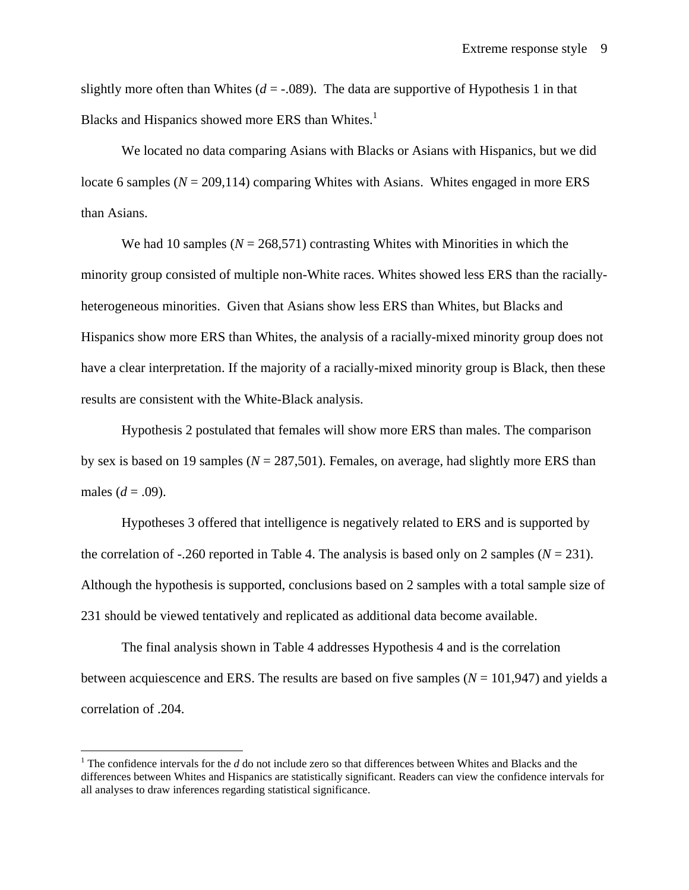slightly more often than Whites  $(d = -0.089)$ . The data are supportive of Hypothesis 1 in that Blacks and Hispanics showed more ERS than Whites. $<sup>1</sup>$ </sup>

We located no data comparing Asians with Blacks or Asians with Hispanics, but we did locate 6 samples  $(N = 209,114)$  comparing Whites with Asians. Whites engaged in more ERS than Asians.

We had 10 samples ( $N = 268,571$ ) contrasting Whites with Minorities in which the minority group consisted of multiple non-White races. Whites showed less ERS than the raciallyheterogeneous minorities. Given that Asians show less ERS than Whites, but Blacks and Hispanics show more ERS than Whites, the analysis of a racially-mixed minority group does not have a clear interpretation. If the majority of a racially-mixed minority group is Black, then these results are consistent with the White-Black analysis.

Hypothesis 2 postulated that females will show more ERS than males. The comparison by sex is based on 19 samples (*N* = 287,501). Females, on average, had slightly more ERS than males ( $d = .09$ ).

Hypotheses 3 offered that intelligence is negatively related to ERS and is supported by the correlation of  $-.260$  reported in Table 4. The analysis is based only on 2 samples ( $N = 231$ ). Although the hypothesis is supported, conclusions based on 2 samples with a total sample size of 231 should be viewed tentatively and replicated as additional data become available.

The final analysis shown in Table 4 addresses Hypothesis 4 and is the correlation between acquiescence and ERS. The results are based on five samples  $(N = 101, 947)$  and yields a correlation of .204.

 $\overline{a}$ 

<sup>&</sup>lt;sup>1</sup> The confidence intervals for the  $d$  do not include zero so that differences between Whites and Blacks and the differences between Whites and Hispanics are statistically significant. Readers can view the confidence intervals for all analyses to draw inferences regarding statistical significance.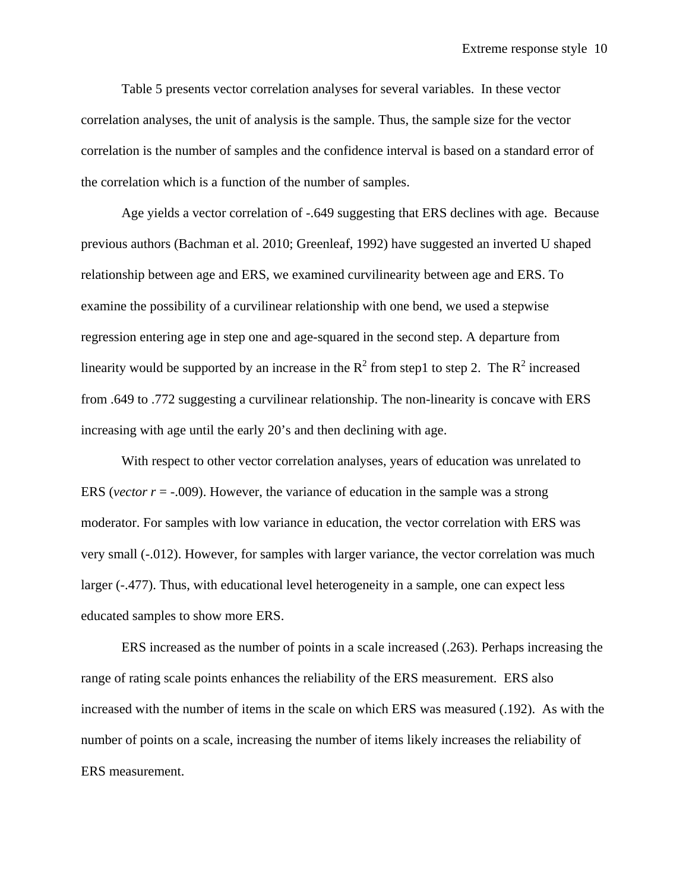Table 5 presents vector correlation analyses for several variables. In these vector correlation analyses, the unit of analysis is the sample. Thus, the sample size for the vector correlation is the number of samples and the confidence interval is based on a standard error of the correlation which is a function of the number of samples.

Age yields a vector correlation of -.649 suggesting that ERS declines with age. Because previous authors (Bachman et al. 2010; Greenleaf, 1992) have suggested an inverted U shaped relationship between age and ERS, we examined curvilinearity between age and ERS. To examine the possibility of a curvilinear relationship with one bend, we used a stepwise regression entering age in step one and age-squared in the second step. A departure from linearity would be supported by an increase in the  $R^2$  from step1 to step 2. The  $R^2$  increased from .649 to .772 suggesting a curvilinear relationship. The non-linearity is concave with ERS increasing with age until the early 20's and then declining with age.

With respect to other vector correlation analyses, years of education was unrelated to ERS (*vector r* =  $-.009$ ). However, the variance of education in the sample was a strong moderator. For samples with low variance in education, the vector correlation with ERS was very small (-.012). However, for samples with larger variance, the vector correlation was much larger (-.477). Thus, with educational level heterogeneity in a sample, one can expect less educated samples to show more ERS.

ERS increased as the number of points in a scale increased (.263). Perhaps increasing the range of rating scale points enhances the reliability of the ERS measurement. ERS also increased with the number of items in the scale on which ERS was measured (.192). As with the number of points on a scale, increasing the number of items likely increases the reliability of ERS measurement.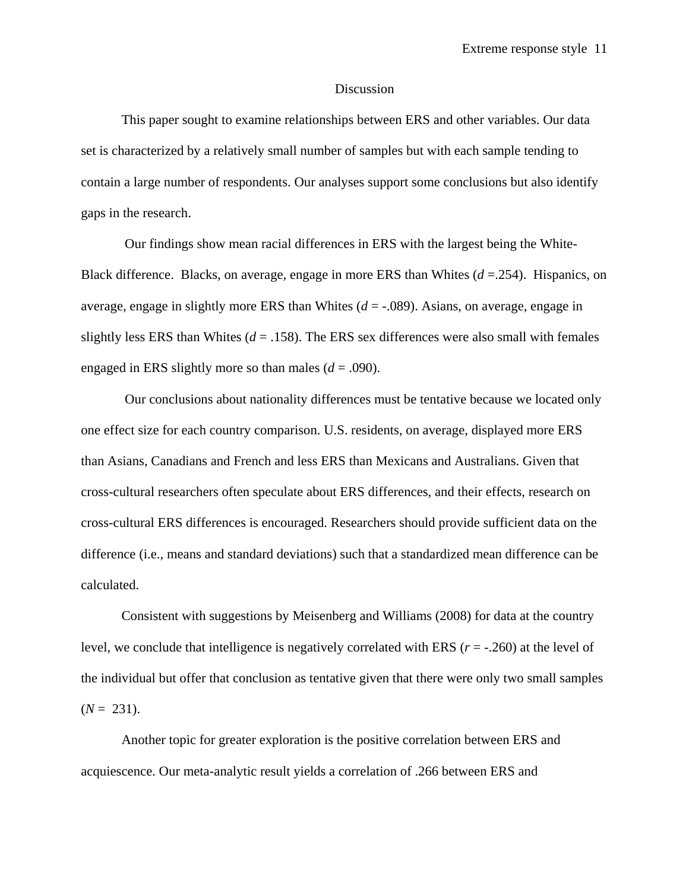### Discussion

This paper sought to examine relationships between ERS and other variables. Our data set is characterized by a relatively small number of samples but with each sample tending to contain a large number of respondents. Our analyses support some conclusions but also identify gaps in the research.

 Our findings show mean racial differences in ERS with the largest being the White-Black difference. Blacks, on average, engage in more ERS than Whites  $(d = 254)$ . Hispanics, on average, engage in slightly more ERS than Whites  $(d = -0.089)$ . Asians, on average, engage in slightly less ERS than Whites  $(d = .158)$ . The ERS sex differences were also small with females engaged in ERS slightly more so than males  $(d = .090)$ .

 Our conclusions about nationality differences must be tentative because we located only one effect size for each country comparison. U.S. residents, on average, displayed more ERS than Asians, Canadians and French and less ERS than Mexicans and Australians. Given that cross-cultural researchers often speculate about ERS differences, and their effects, research on cross-cultural ERS differences is encouraged. Researchers should provide sufficient data on the difference (i.e., means and standard deviations) such that a standardized mean difference can be calculated.

Consistent with suggestions by Meisenberg and Williams (2008) for data at the country level, we conclude that intelligence is negatively correlated with ERS (*r* = -.260) at the level of the individual but offer that conclusion as tentative given that there were only two small samples  $(N = 231)$ .

Another topic for greater exploration is the positive correlation between ERS and acquiescence. Our meta-analytic result yields a correlation of .266 between ERS and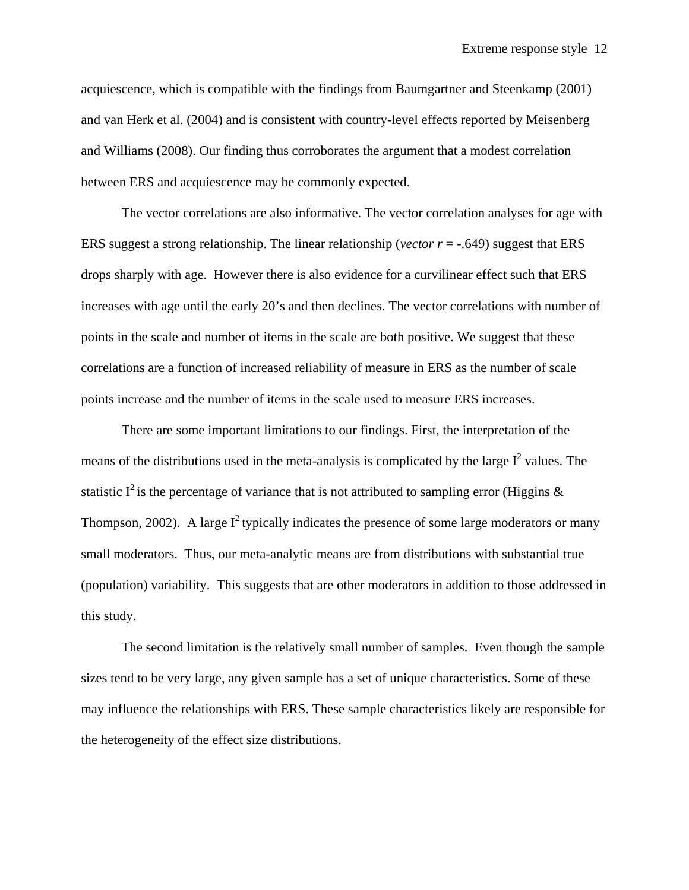acquiescence, which is compatible with the findings from Baumgartner and Steenkamp (2001) and van Herk et al. (2004) and is consistent with country-level effects reported by Meisenberg and Williams (2008). Our finding thus corroborates the argument that a modest correlation between ERS and acquiescence may be commonly expected.

The vector correlations are also informative. The vector correlation analyses for age with ERS suggest a strong relationship. The linear relationship (*vector r* = -.649) suggest that ERS drops sharply with age. However there is also evidence for a curvilinear effect such that ERS increases with age until the early 20's and then declines. The vector correlations with number of points in the scale and number of items in the scale are both positive. We suggest that these correlations are a function of increased reliability of measure in ERS as the number of scale points increase and the number of items in the scale used to measure ERS increases.

There are some important limitations to our findings. First, the interpretation of the means of the distributions used in the meta-analysis is complicated by the large  $I^2$  values. The statistic  $I^2$  is the percentage of variance that is not attributed to sampling error (Higgins  $\&$ Thompson, 2002). A large  $I^2$  typically indicates the presence of some large moderators or many small moderators. Thus, our meta-analytic means are from distributions with substantial true (population) variability. This suggests that are other moderators in addition to those addressed in this study.

The second limitation is the relatively small number of samples. Even though the sample sizes tend to be very large, any given sample has a set of unique characteristics. Some of these may influence the relationships with ERS. These sample characteristics likely are responsible for the heterogeneity of the effect size distributions.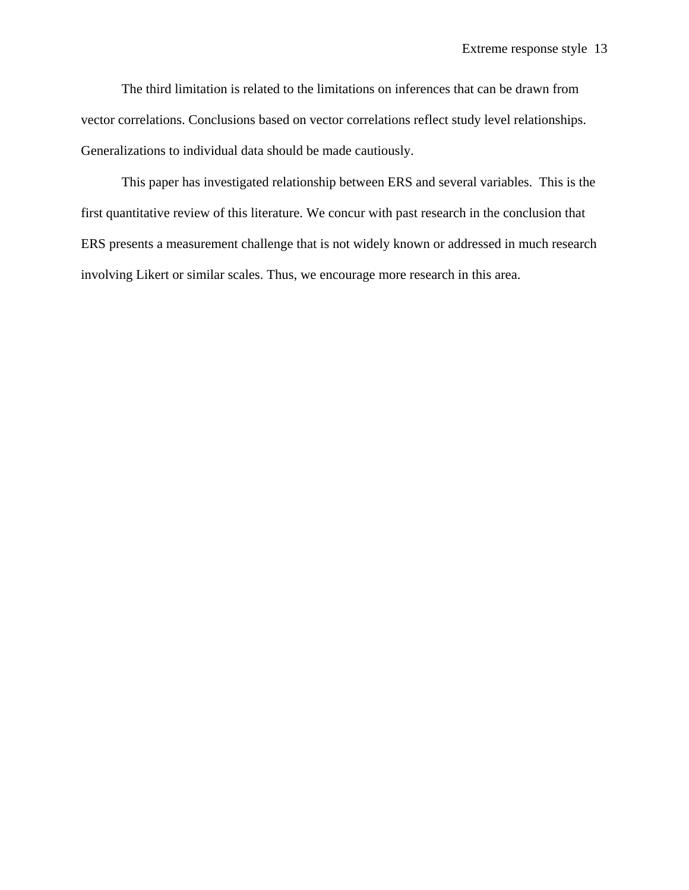The third limitation is related to the limitations on inferences that can be drawn from vector correlations. Conclusions based on vector correlations reflect study level relationships. Generalizations to individual data should be made cautiously.

This paper has investigated relationship between ERS and several variables. This is the first quantitative review of this literature. We concur with past research in the conclusion that ERS presents a measurement challenge that is not widely known or addressed in much research involving Likert or similar scales. Thus, we encourage more research in this area.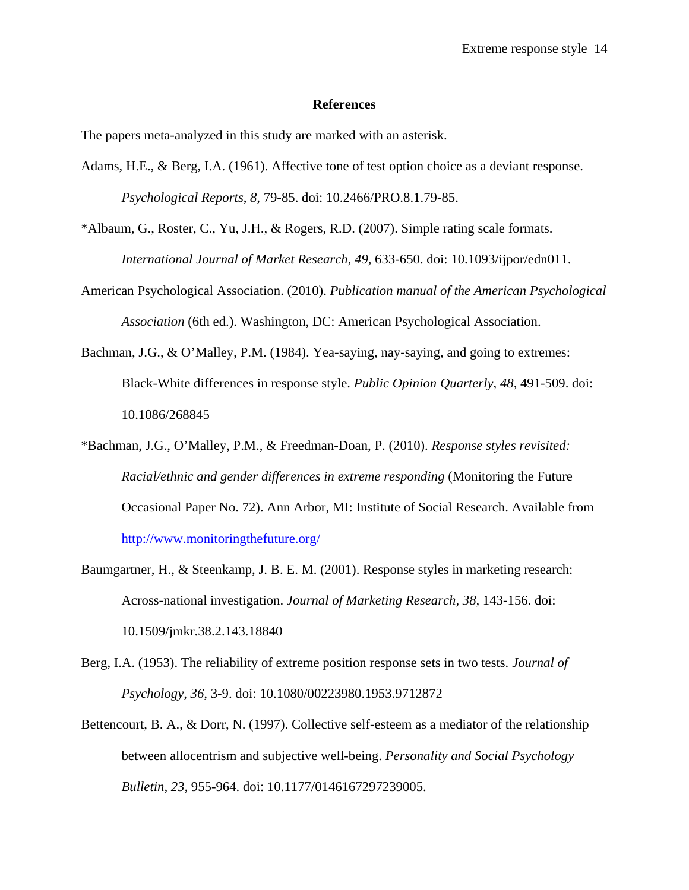### **References**

The papers meta-analyzed in this study are marked with an asterisk.

- Adams, H.E., & Berg, I.A. (1961). Affective tone of test option choice as a deviant response. *Psychological Reports*, *8,* 79-85. doi: 10.2466/PRO.8.1.79-85.
- \*Albaum, G., Roster, C., Yu, J.H., & Rogers, R.D. (2007). Simple rating scale formats. *International Journal of Market Research*, *49,* 633-650. doi: 10.1093/ijpor/edn011.
- American Psychological Association. (2010). *Publication manual of the American Psychological Association* (6th ed.). Washington, DC: American Psychological Association.
- Bachman, J.G., & O'Malley, P.M. (1984). Yea-saying, nay-saying, and going to extremes: Black-White differences in response style. *Public Opinion Quarterly*, *48,* 491-509. doi: 10.1086/268845
- \*Bachman, J.G., O'Malley, P.M., & Freedman-Doan, P. (2010). *Response styles revisited: Racial/ethnic and gender differences in extreme responding* (Monitoring the Future Occasional Paper No. 72). Ann Arbor, MI: Institute of Social Research. Available from http://www.monitoringthefuture.org/
- Baumgartner, H., & Steenkamp, J. B. E. M. (2001). Response styles in marketing research: Across-national investigation. *Journal of Marketing Research, 38,* 143-156. doi: 10.1509/jmkr.38.2.143.18840
- Berg, I.A. (1953). The reliability of extreme position response sets in two tests. *Journal of Psychology, 36,* 3-9. doi: 10.1080/00223980.1953.9712872
- Bettencourt, B. A., & Dorr, N. (1997). Collective self-esteem as a mediator of the relationship between allocentrism and subjective well-being. *Personality and Social Psychology Bulletin, 23,* 955-964. doi: 10.1177/0146167297239005.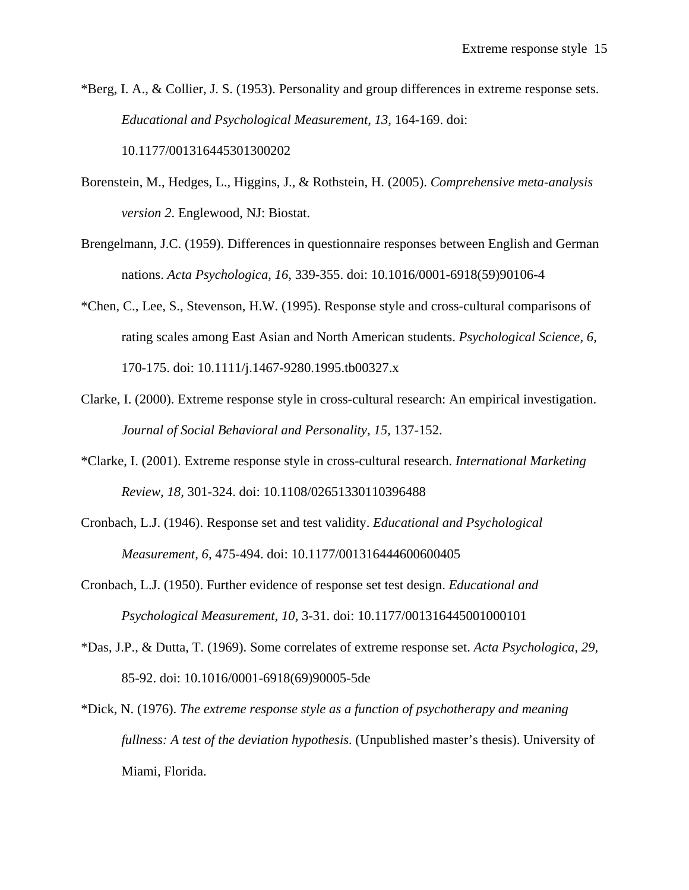\*Berg, I. A., & Collier, J. S. (1953). Personality and group differences in extreme response sets. *Educational and Psychological Measurement, 13,* 164-169. doi: 10.1177/001316445301300202

- Borenstein, M., Hedges, L., Higgins, J., & Rothstein, H. (2005). *Comprehensive meta-analysis version 2*. Englewood, NJ: Biostat.
- Brengelmann, J.C. (1959). Differences in questionnaire responses between English and German nations. *Acta Psychologica, 16,* 339-355. doi: 10.1016/0001-6918(59)90106-4
- \*Chen, C., Lee, S., Stevenson, H.W. (1995). Response style and cross-cultural comparisons of rating scales among East Asian and North American students. *Psychological Science, 6,* 170-175. doi: 10.1111/j.1467-9280.1995.tb00327.x
- Clarke, I. (2000). Extreme response style in cross-cultural research: An empirical investigation. *Journal of Social Behavioral and Personality, 15,* 137-152.
- \*Clarke, I. (2001). Extreme response style in cross-cultural research. *International Marketing Review, 18,* 301-324. doi: 10.1108/02651330110396488
- Cronbach, L.J. (1946). Response set and test validity. *Educational and Psychological Measurement, 6,* 475-494. doi: 10.1177/001316444600600405
- Cronbach, L.J. (1950). Further evidence of response set test design. *Educational and Psychological Measurement, 10,* 3-31. doi: 10.1177/001316445001000101
- \*Das, J.P., & Dutta, T. (1969). Some correlates of extreme response set. *Acta Psychologica, 29,* 85-92. doi: 10.1016/0001-6918(69)90005-5de
- \*Dick, N. (1976). *The extreme response style as a function of psychotherapy and meaning fullness: A test of the deviation hypothesis*. (Unpublished master's thesis). University of Miami, Florida.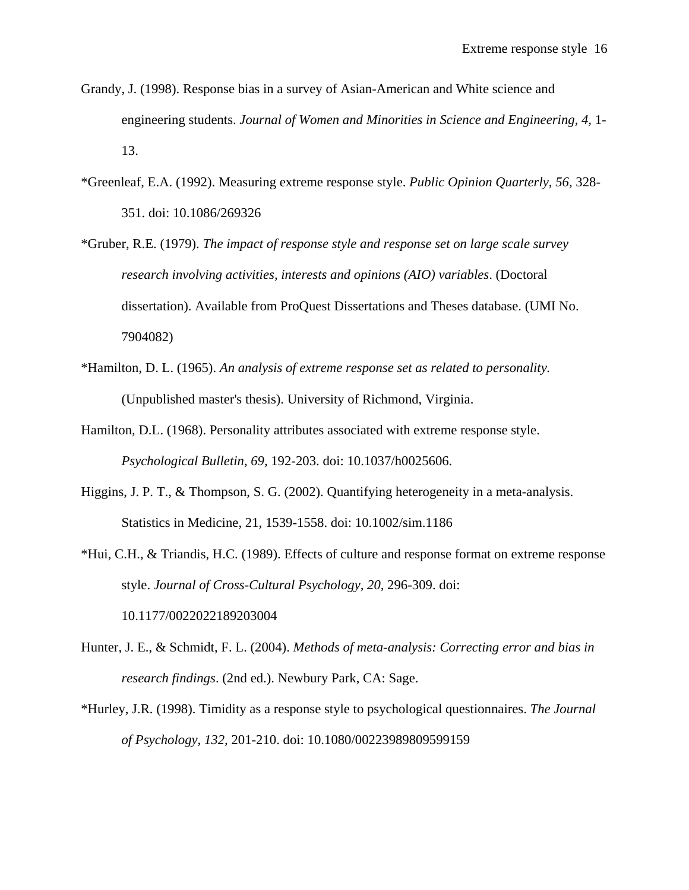- Grandy, J. (1998). Response bias in a survey of Asian-American and White science and engineering students. *Journal of Women and Minorities in Science and Engineering, 4,* 1- 13.
- \*Greenleaf, E.A. (1992). Measuring extreme response style. *Public Opinion Quarterly, 56,* 328- 351. doi: 10.1086/269326
- \*Gruber, R.E. (1979). *The impact of response style and response set on large scale survey research involving activities, interests and opinions (AIO) variables*. (Doctoral dissertation). Available from ProQuest Dissertations and Theses database. (UMI No. 7904082)
- \*Hamilton, D. L. (1965). *An analysis of extreme response set as related to personality.* (Unpublished master's thesis). University of Richmond, Virginia.
- Hamilton, D.L. (1968). Personality attributes associated with extreme response style. *Psychological Bulletin, 69,* 192-203. doi: 10.1037/h0025606.
- Higgins, J. P. T., & Thompson, S. G. (2002). Quantifying heterogeneity in a meta-analysis. Statistics in Medicine, 21, 1539-1558. doi: 10.1002/sim.1186
- \*Hui, C.H., & Triandis, H.C. (1989). Effects of culture and response format on extreme response style. *Journal of Cross-Cultural Psychology, 20,* 296-309. doi: 10.1177/0022022189203004
- Hunter, J. E., & Schmidt, F. L. (2004). *Methods of meta-analysis: Correcting error and bias in research findings*. (2nd ed.). Newbury Park, CA: Sage.
- \*Hurley, J.R. (1998). Timidity as a response style to psychological questionnaires. *The Journal of Psychology, 132,* 201-210. doi: 10.1080/00223989809599159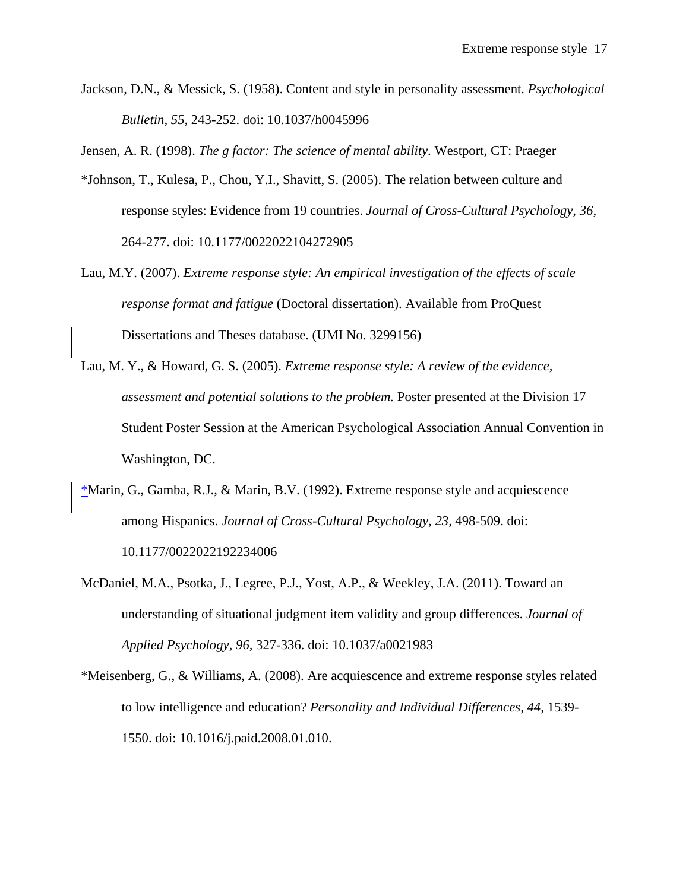Jackson, D.N., & Messick, S. (1958). Content and style in personality assessment. *Psychological Bulletin, 55,* 243-252. doi: 10.1037/h0045996

Jensen, A. R. (1998). *The g factor: The science of mental ability*. Westport, CT: Praeger

- \*Johnson, T., Kulesa, P., Chou, Y.I., Shavitt, S. (2005). The relation between culture and response styles: Evidence from 19 countries. *Journal of Cross-Cultural Psychology, 36,* 264-277. doi: 10.1177/0022022104272905
- Lau, M.Y. (2007). *Extreme response style: An empirical investigation of the effects of scale response format and fatigue* (Doctoral dissertation). Available from ProQuest Dissertations and Theses database. (UMI No. 3299156)
- Lau, M. Y., & Howard, G. S. (2005). *Extreme response style: A review of the evidence, assessment and potential solutions to the problem.* Poster presented at the Division 17 Student Poster Session at the American Psychological Association Annual Convention in Washington, DC.
- \*Marin, G., Gamba, R.J., & Marin, B.V. (1992). Extreme response style and acquiescence among Hispanics. *Journal of Cross-Cultural Psychology, 23,* 498-509. doi: 10.1177/0022022192234006
- McDaniel, M.A., Psotka, J., Legree, P.J., Yost, A.P., & Weekley, J.A. (2011). Toward an understanding of situational judgment item validity and group differences. *Journal of Applied Psychology, 96,* 327-336. doi: 10.1037/a0021983
- \*Meisenberg, G., & Williams, A. (2008). Are acquiescence and extreme response styles related to low intelligence and education? *Personality and Individual Differences, 44,* 1539- 1550. doi: 10.1016/j.paid.2008.01.010.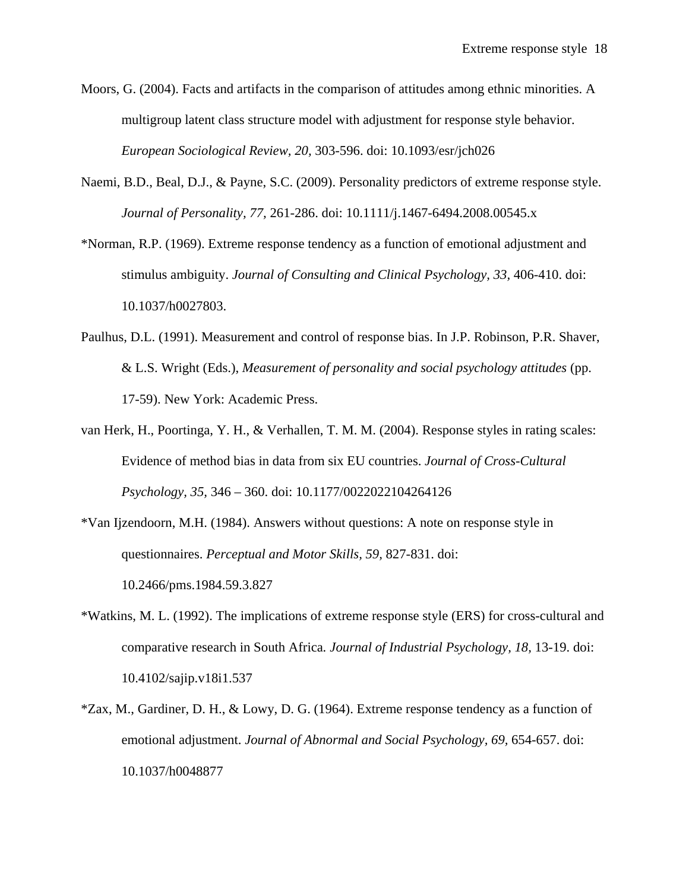- Moors, G. (2004). Facts and artifacts in the comparison of attitudes among ethnic minorities. A multigroup latent class structure model with adjustment for response style behavior. *European Sociological Review, 20,* 303-596. doi: 10.1093/esr/jch026
- Naemi, B.D., Beal, D.J., & Payne, S.C. (2009). Personality predictors of extreme response style. *Journal of Personality, 77,* 261-286. doi: 10.1111/j.1467-6494.2008.00545.x
- \*Norman, R.P. (1969). Extreme response tendency as a function of emotional adjustment and stimulus ambiguity. *Journal of Consulting and Clinical Psychology, 33,* 406-410. doi: 10.1037/h0027803.
- Paulhus, D.L. (1991). Measurement and control of response bias. In J.P. Robinson, P.R. Shaver, & L.S. Wright (Eds.), *Measurement of personality and social psychology attitudes* (pp. 17-59). New York: Academic Press.
- van Herk, H., Poortinga, Y. H., & Verhallen, T. M. M. (2004). Response styles in rating scales: Evidence of method bias in data from six EU countries. *Journal of Cross-Cultural Psychology, 35,* 346 – 360. doi: 10.1177/0022022104264126
- \*Van Ijzendoorn, M.H. (1984). Answers without questions: A note on response style in questionnaires. *Perceptual and Motor Skills, 59,* 827-831. doi: 10.2466/pms.1984.59.3.827
- \*Watkins, M. L. (1992). The implications of extreme response style (ERS) for cross-cultural and comparative research in South Africa*. Journal of Industrial Psychology, 18,* 13-19. doi: 10.4102/sajip.v18i1.537
- \*Zax, M., Gardiner, D. H., & Lowy, D. G. (1964). Extreme response tendency as a function of emotional adjustment. *Journal of Abnormal and Social Psychology, 69,* 654-657. doi: 10.1037/h0048877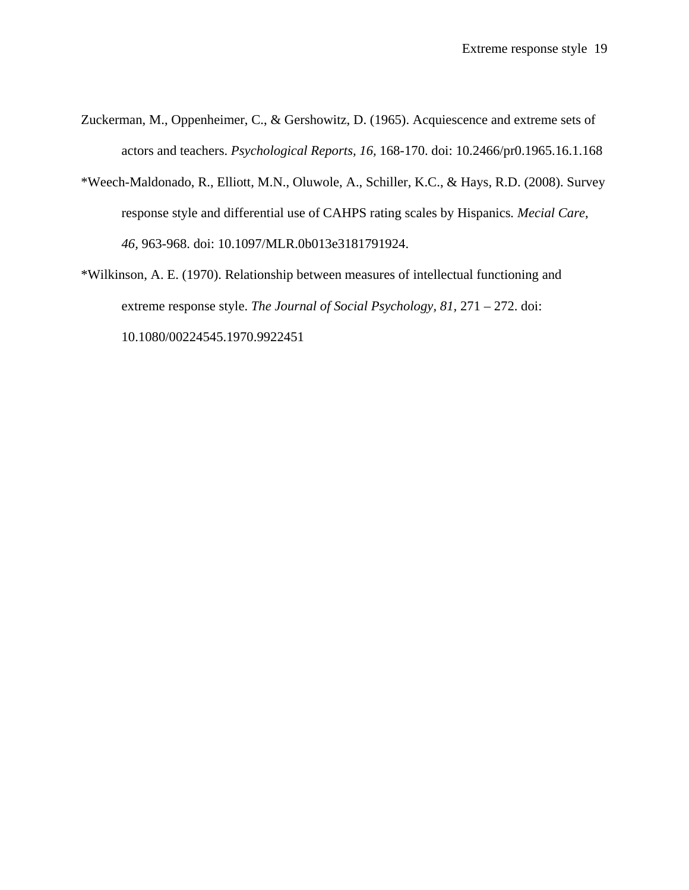- Zuckerman, M., Oppenheimer, C., & Gershowitz, D. (1965). Acquiescence and extreme sets of actors and teachers. *Psychological Reports, 16,* 168-170. doi: 10.2466/pr0.1965.16.1.168
- \*Weech-Maldonado, R., Elliott, M.N., Oluwole, A., Schiller, K.C., & Hays, R.D. (2008). Survey response style and differential use of CAHPS rating scales by Hispanics*. Mecial Care*, *46,* 963-968. doi: 10.1097/MLR.0b013e3181791924.
- \*Wilkinson, A. E. (1970). Relationship between measures of intellectual functioning and extreme response style. *The Journal of Social Psychology, 81,* 271 – 272. doi: 10.1080/00224545.1970.9922451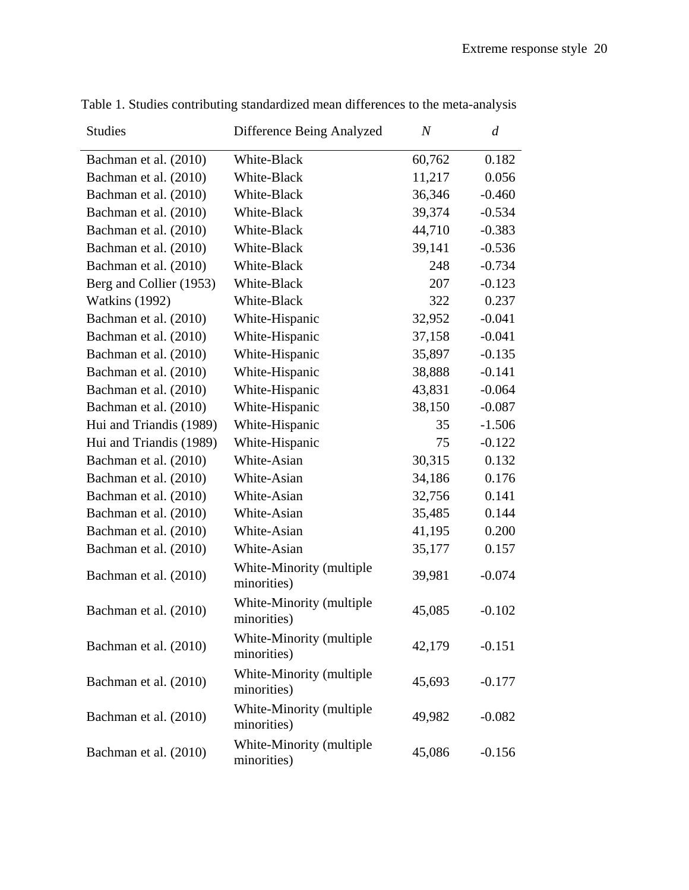| <b>Studies</b>          | Difference Being Analyzed<br>$\,N$      |        | $\overline{d}$ |
|-------------------------|-----------------------------------------|--------|----------------|
| Bachman et al. (2010)   | White-Black                             | 60,762 | 0.182          |
| Bachman et al. (2010)   | White-Black                             | 11,217 | 0.056          |
| Bachman et al. (2010)   | White-Black                             | 36,346 | $-0.460$       |
| Bachman et al. (2010)   | White-Black                             | 39,374 | $-0.534$       |
| Bachman et al. (2010)   | White-Black                             | 44,710 | $-0.383$       |
| Bachman et al. (2010)   | White-Black                             | 39,141 | $-0.536$       |
| Bachman et al. (2010)   | White-Black                             | 248    | $-0.734$       |
| Berg and Collier (1953) | White-Black                             | 207    | $-0.123$       |
| <b>Watkins</b> (1992)   | White-Black                             | 322    | 0.237          |
| Bachman et al. (2010)   | White-Hispanic                          | 32,952 | $-0.041$       |
| Bachman et al. (2010)   | White-Hispanic                          | 37,158 | $-0.041$       |
| Bachman et al. (2010)   | White-Hispanic                          | 35,897 | $-0.135$       |
| Bachman et al. (2010)   | White-Hispanic                          | 38,888 | $-0.141$       |
| Bachman et al. (2010)   | White-Hispanic                          | 43,831 | $-0.064$       |
| Bachman et al. (2010)   | White-Hispanic                          | 38,150 | $-0.087$       |
| Hui and Triandis (1989) | White-Hispanic                          | 35     | $-1.506$       |
| Hui and Triandis (1989) | White-Hispanic                          | 75     | $-0.122$       |
| Bachman et al. (2010)   | White-Asian                             | 30,315 | 0.132          |
| Bachman et al. (2010)   | White-Asian                             | 34,186 | 0.176          |
| Bachman et al. (2010)   | White-Asian                             | 32,756 | 0.141          |
| Bachman et al. (2010)   | White-Asian                             | 35,485 | 0.144          |
| Bachman et al. (2010)   | White-Asian                             | 41,195 | 0.200          |
| Bachman et al. (2010)   | White-Asian                             | 35,177 | 0.157          |
| Bachman et al. (2010)   | White-Minority (multiple<br>minorities) | 39,981 | $-0.074$       |
| Bachman et al. (2010)   | White-Minority (multiple<br>minorities) | 45,085 | $-0.102$       |
| Bachman et al. (2010)   | White-Minority (multiple<br>minorities) | 42,179 | $-0.151$       |
| Bachman et al. (2010)   | White-Minority (multiple<br>minorities) | 45,693 | $-0.177$       |
| Bachman et al. (2010)   | White-Minority (multiple<br>minorities) | 49,982 | $-0.082$       |
| Bachman et al. (2010)   | White-Minority (multiple<br>minorities) | 45,086 | $-0.156$       |

Table 1. Studies contributing standardized mean differences to the meta-analysis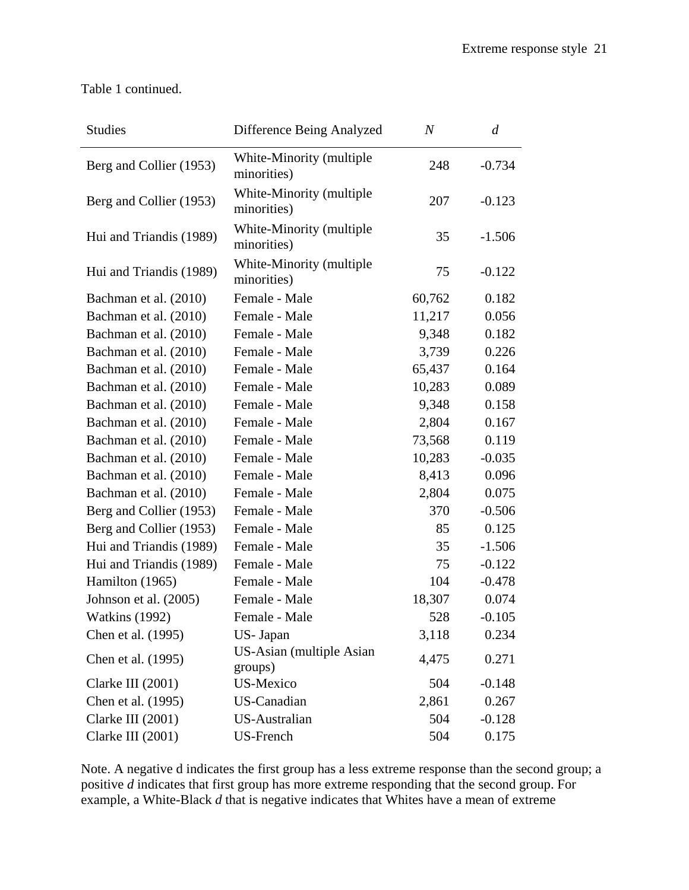Table 1 continued.

| <b>Studies</b>          | Difference Being Analyzed               | $\overline{N}$ | $\overline{d}$ |
|-------------------------|-----------------------------------------|----------------|----------------|
| Berg and Collier (1953) | White-Minority (multiple<br>minorities) | 248            | $-0.734$       |
| Berg and Collier (1953) | White-Minority (multiple<br>minorities) | 207            | $-0.123$       |
| Hui and Triandis (1989) | White-Minority (multiple<br>minorities) | 35             | $-1.506$       |
| Hui and Triandis (1989) | White-Minority (multiple<br>minorities) | 75             | $-0.122$       |
| Bachman et al. (2010)   | Female - Male                           | 60,762         | 0.182          |
| Bachman et al. (2010)   | Female - Male                           | 11,217         | 0.056          |
| Bachman et al. (2010)   | Female - Male                           | 9,348          | 0.182          |
| Bachman et al. (2010)   | Female - Male                           | 3,739          | 0.226          |
| Bachman et al. (2010)   | Female - Male                           | 65,437         | 0.164          |
| Bachman et al. (2010)   | Female - Male                           | 10,283         | 0.089          |
| Bachman et al. (2010)   | Female - Male                           | 9,348          | 0.158          |
| Bachman et al. (2010)   | Female - Male                           | 2,804          | 0.167          |
| Bachman et al. (2010)   | Female - Male                           | 73,568         | 0.119          |
| Bachman et al. (2010)   | Female - Male                           | 10,283         | $-0.035$       |
| Bachman et al. (2010)   | Female - Male                           | 8,413          | 0.096          |
| Bachman et al. (2010)   | Female - Male                           | 2,804          | 0.075          |
| Berg and Collier (1953) | Female - Male                           | 370            | $-0.506$       |
| Berg and Collier (1953) | Female - Male                           | 85             | 0.125          |
| Hui and Triandis (1989) | Female - Male                           | 35             | $-1.506$       |
| Hui and Triandis (1989) | Female - Male                           | 75             | $-0.122$       |
| Hamilton (1965)         | Female - Male                           | 104            | $-0.478$       |
| Johnson et al. (2005)   | Female - Male                           | 18,307         | 0.074          |
| <b>Watkins</b> (1992)   | Female - Male                           | 528            | $-0.105$       |
| Chen et al. (1995)      | US- Japan                               | 3,118          | 0.234          |
| Chen et al. (1995)      | US-Asian (multiple Asian<br>groups)     | 4,475          | 0.271          |
| Clarke III (2001)       | US-Mexico                               | 504            | $-0.148$       |
| Chen et al. (1995)      | US-Canadian                             | 2,861          | 0.267          |
| Clarke III (2001)       | <b>US-Australian</b>                    | 504            | $-0.128$       |
| Clarke III (2001)       | US-French                               | 504            | 0.175          |

Note. A negative d indicates the first group has a less extreme response than the second group; a positive *d* indicates that first group has more extreme responding that the second group. For example, a White-Black *d* that is negative indicates that Whites have a mean of extreme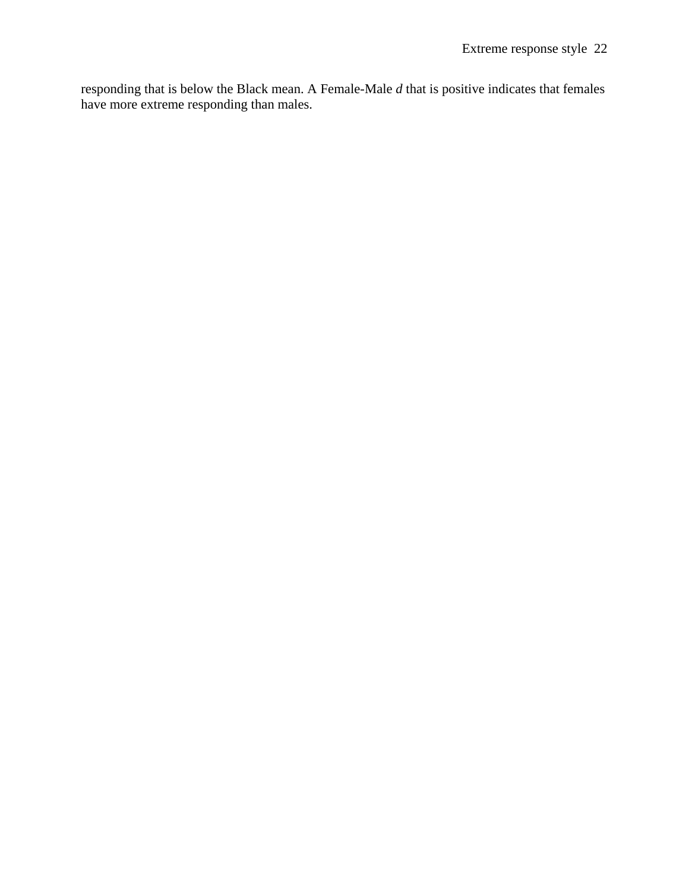responding that is below the Black mean. A Female-Male *d* that is positive indicates that females have more extreme responding than males.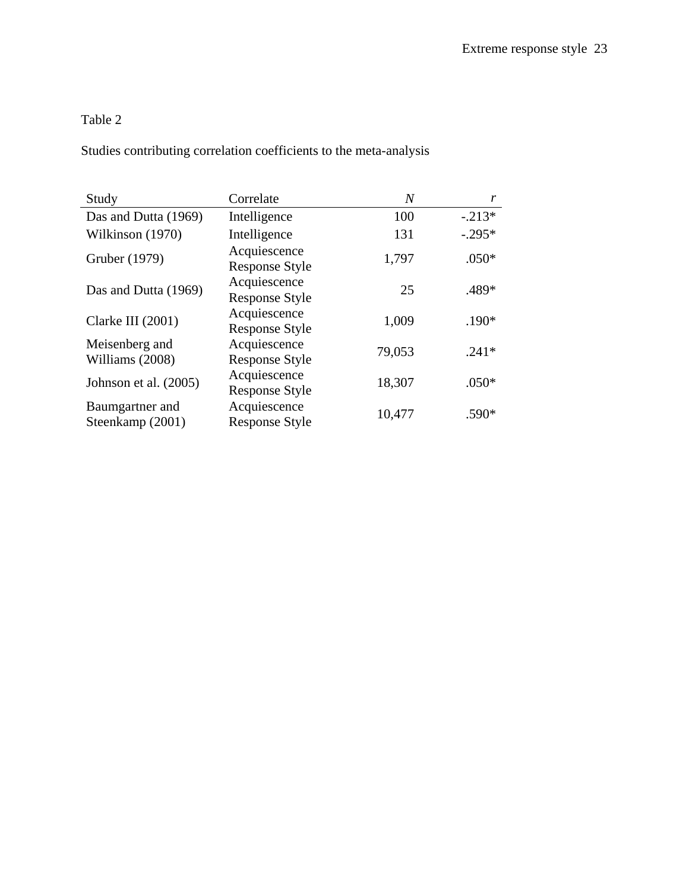# Table 2

Studies contributing correlation coefficients to the meta-analysis

| Study                               | Correlate                             | $\overline{N}$ | r        |
|-------------------------------------|---------------------------------------|----------------|----------|
| Das and Dutta (1969)                | Intelligence                          | 100            | $-.213*$ |
| Wilkinson (1970)                    | Intelligence                          | 131            | $-.295*$ |
| Gruber (1979)                       | Acquiescence<br><b>Response Style</b> | 1,797          | $.050*$  |
| Das and Dutta (1969)                | Acquiescence<br><b>Response Style</b> | 25             | .489*    |
| Clarke III (2001)                   | Acquiescence<br><b>Response Style</b> | 1,009          | .190*    |
| Meisenberg and<br>Williams (2008)   | Acquiescence<br><b>Response Style</b> | 79,053         | $.241*$  |
| Johnson et al. (2005)               | Acquiescence<br><b>Response Style</b> | 18,307         | $.050*$  |
| Baumgartner and<br>Steenkamp (2001) | Acquiescence<br><b>Response Style</b> | 10,477         | .590*    |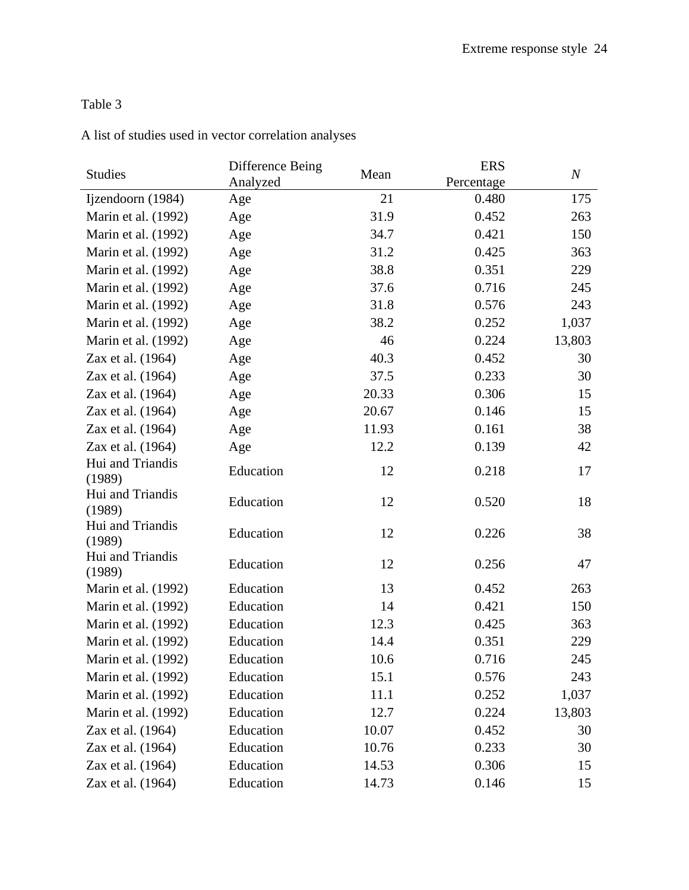# Table 3

|  |  |  |  |  |  |  |  |  | A list of studies used in vector correlation analyses |  |
|--|--|--|--|--|--|--|--|--|-------------------------------------------------------|--|
|--|--|--|--|--|--|--|--|--|-------------------------------------------------------|--|

| <b>Studies</b>             | Difference Being | Mean  | <b>ERS</b> | $\boldsymbol{N}$ |
|----------------------------|------------------|-------|------------|------------------|
|                            | Analyzed         |       | Percentage |                  |
| Ijzendoorn (1984)          | Age              | 21    | 0.480      | 175              |
| Marin et al. (1992)        | Age              | 31.9  | 0.452      | 263              |
| Marin et al. (1992)        | Age              | 34.7  | 0.421      | 150              |
| Marin et al. (1992)        | Age              | 31.2  | 0.425      | 363              |
| Marin et al. (1992)        | Age              | 38.8  | 0.351      | 229              |
| Marin et al. (1992)        | Age              | 37.6  | 0.716      | 245              |
| Marin et al. (1992)        | Age              | 31.8  | 0.576      | 243              |
| Marin et al. (1992)        | Age              | 38.2  | 0.252      | 1,037            |
| Marin et al. (1992)        | Age              | 46    | 0.224      | 13,803           |
| Zax et al. (1964)          | Age              | 40.3  | 0.452      | 30               |
| Zax et al. (1964)          | Age              | 37.5  | 0.233      | 30               |
| Zax et al. (1964)          | Age              | 20.33 | 0.306      | 15               |
| Zax et al. (1964)          | Age              | 20.67 | 0.146      | 15               |
| Zax et al. (1964)          | Age              | 11.93 | 0.161      | 38               |
| Zax et al. (1964)          | Age              | 12.2  | 0.139      | 42               |
| Hui and Triandis<br>(1989) | Education        | 12    | 0.218      | 17               |
| Hui and Triandis<br>(1989) | Education        | 12    | 0.520      | 18               |
| Hui and Triandis<br>(1989) | Education        | 12    | 0.226      | 38               |
| Hui and Triandis<br>(1989) | Education        | 12    | 0.256      | 47               |
| Marin et al. (1992)        | Education        | 13    | 0.452      | 263              |
| Marin et al. (1992)        | Education        | 14    | 0.421      | 150              |
| Marin et al. (1992)        | Education        | 12.3  | 0.425      | 363              |
| Marin et al. (1992)        | Education        | 14.4  | 0.351      | 229              |
| Marin et al. (1992)        | Education        | 10.6  | 0.716      | 245              |
| Marin et al. (1992)        | Education        | 15.1  | 0.576      | 243              |
| Marin et al. (1992)        | Education        | 11.1  | 0.252      | 1,037            |
| Marin et al. (1992)        | Education        | 12.7  | 0.224      | 13,803           |
| Zax et al. (1964)          | Education        | 10.07 | 0.452      | 30               |
| Zax et al. (1964)          | Education        | 10.76 | 0.233      | 30               |
| Zax et al. (1964)          | Education        | 14.53 | 0.306      | 15               |
| Zax et al. (1964)          | Education        | 14.73 | 0.146      | 15               |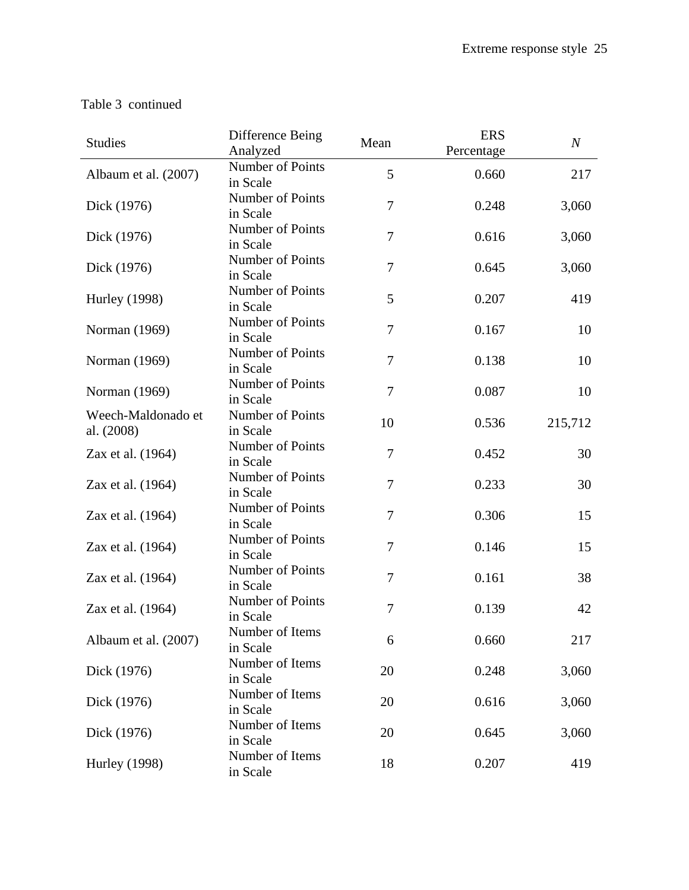| <b>Studies</b>                   | Difference Being<br>Analyzed | Mean   | <b>ERS</b><br>Percentage | $\boldsymbol{N}$ |
|----------------------------------|------------------------------|--------|--------------------------|------------------|
| Albaum et al. (2007)             | Number of Points<br>in Scale | 5      | 0.660                    | 217              |
| Dick (1976)                      | Number of Points<br>in Scale | 7      | 0.248                    | 3,060            |
| Dick (1976)                      | Number of Points<br>in Scale | $\tau$ | 0.616                    | 3,060            |
| Dick (1976)                      | Number of Points<br>in Scale | 7      | 0.645                    | 3,060            |
| <b>Hurley</b> (1998)             | Number of Points<br>in Scale | 5      | 0.207                    | 419              |
| Norman (1969)                    | Number of Points<br>in Scale | 7      | 0.167                    | 10               |
| Norman (1969)                    | Number of Points<br>in Scale | 7      | 0.138                    | 10               |
| Norman (1969)                    | Number of Points<br>in Scale | $\tau$ | 0.087                    | 10               |
| Weech-Maldonado et<br>al. (2008) | Number of Points<br>in Scale | 10     | 0.536                    | 215,712          |
| Zax et al. (1964)                | Number of Points<br>in Scale | $\tau$ | 0.452                    | 30               |
| Zax et al. (1964)                | Number of Points<br>in Scale | 7      | 0.233                    | 30               |
| Zax et al. (1964)                | Number of Points<br>in Scale | 7      | 0.306                    | 15               |
| Zax et al. (1964)                | Number of Points<br>in Scale | 7      | 0.146                    | 15               |
| Zax et al. (1964)                | Number of Points<br>in Scale | 7      | 0.161                    | 38               |
| Zax et al. (1964)                | Number of Points<br>in Scale | 7      | 0.139                    | 42               |
| Albaum et al. (2007)             | Number of Items<br>in Scale  | 6      | 0.660                    | 217              |
| Dick (1976)                      | Number of Items<br>in Scale  | 20     | 0.248                    | 3,060            |
| Dick (1976)                      | Number of Items<br>in Scale  | 20     | 0.616                    | 3,060            |
| Dick (1976)                      | Number of Items<br>in Scale  | 20     | 0.645                    | 3,060            |
| <b>Hurley</b> (1998)             | Number of Items<br>in Scale  | 18     | 0.207                    | 419              |

## Table 3 continued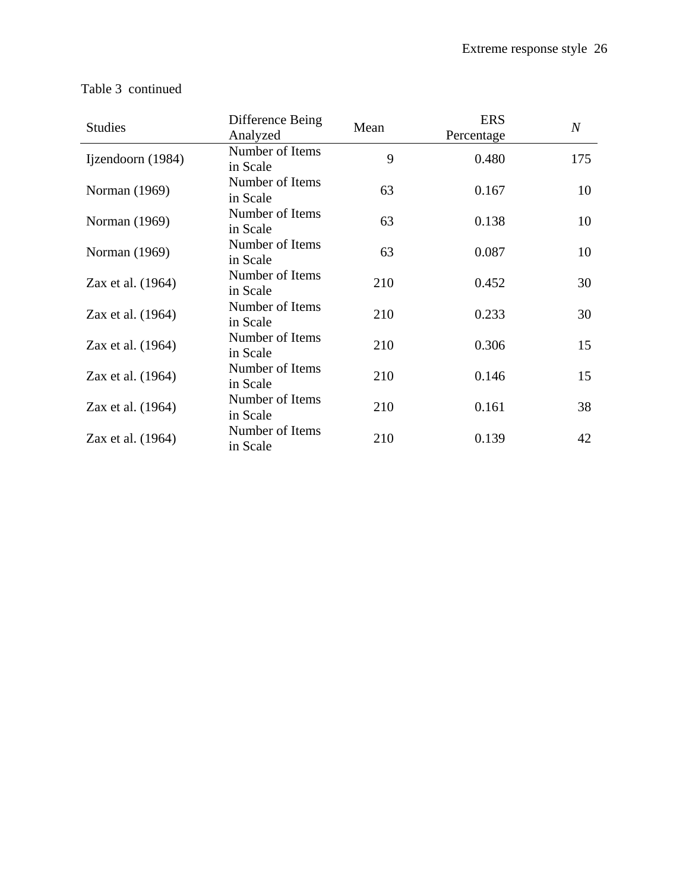| <b>Studies</b>    | Difference Being<br>Analyzed | Mean | <b>ERS</b><br>Percentage | $\boldsymbol{N}$ |
|-------------------|------------------------------|------|--------------------------|------------------|
| Ijzendoorn (1984) | Number of Items<br>in Scale  | 9    | 0.480                    | 175              |
| Norman (1969)     | Number of Items<br>in Scale  | 63   | 0.167                    | 10               |
| Norman (1969)     | Number of Items<br>in Scale  | 63   | 0.138                    | 10               |
| Norman (1969)     | Number of Items<br>in Scale  | 63   | 0.087                    | 10               |
| Zax et al. (1964) | Number of Items<br>in Scale  | 210  | 0.452                    | 30               |
| Zax et al. (1964) | Number of Items<br>in Scale  | 210  | 0.233                    | 30               |
| Zax et al. (1964) | Number of Items<br>in Scale  | 210  | 0.306                    | 15               |
| Zax et al. (1964) | Number of Items<br>in Scale  | 210  | 0.146                    | 15               |
| Zax et al. (1964) | Number of Items<br>in Scale  | 210  | 0.161                    | 38               |
| Zax et al. (1964) | Number of Items<br>in Scale  | 210  | 0.139                    | 42               |

## Table 3 continued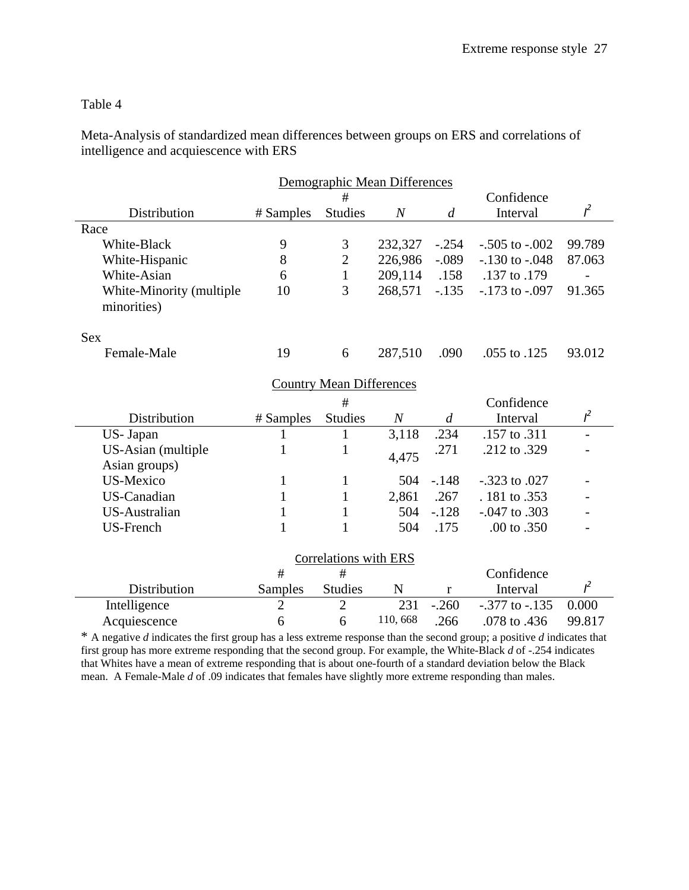### Table 4

Meta-Analysis of standardized mean differences between groups on ERS and correlations of intelligence and acquiescence with ERS

|                                         | Demographic Mean Differences |                                 |                  |                |                    |                |  |  |
|-----------------------------------------|------------------------------|---------------------------------|------------------|----------------|--------------------|----------------|--|--|
|                                         |                              | #                               | Confidence       |                |                    |                |  |  |
| Distribution                            | # Samples                    | <b>Studies</b>                  | $\it N$          | $\overline{d}$ | Interval           | $l^2$          |  |  |
| Race                                    |                              |                                 |                  |                |                    |                |  |  |
| White-Black                             | 9                            | 3                               | 232,327          | $-.254$        | $-.505$ to $-.002$ | 99.789         |  |  |
| White-Hispanic                          | 8                            | $\overline{c}$                  | 226,986          | $-.089$        | $-.130$ to $-.048$ | 87.063         |  |  |
| White-Asian                             | 6                            | $\mathbf{1}$                    | 209,114          | .158           | .137 to .179       |                |  |  |
| White-Minority (multiple<br>minorities) | 10                           | 3                               | 268,571          | $-.135$        | $-.173$ to $-.097$ | 91.365         |  |  |
| <b>Sex</b>                              |                              |                                 |                  |                |                    |                |  |  |
| Female-Male                             | 19                           | 6                               | 287,510          | .090           | .055 to .125       | 93.012         |  |  |
|                                         |                              | <b>Country Mean Differences</b> |                  |                |                    |                |  |  |
|                                         |                              | #                               |                  |                | Confidence         |                |  |  |
| Distribution                            | # Samples                    | <b>Studies</b>                  | $\boldsymbol{N}$ | $\overline{d}$ | Interval           | $l^2$          |  |  |
| US- Japan                               | 1                            | $\mathbf{1}$                    | 3,118            | .234           | .157 to .311       | $\overline{a}$ |  |  |
| US-Asian (multiple                      | $\mathbf{1}$                 | 1                               | 4,475            | .271           | .212 to .329       |                |  |  |
| Asian groups)                           |                              |                                 |                  |                |                    |                |  |  |
| <b>US-Mexico</b>                        | $\mathbf{1}$                 | $\mathbf{1}$                    | 504              | $-.148$        | $-.323$ to .027    |                |  |  |
| <b>US-Canadian</b>                      | $\mathbf{1}$                 | $\mathbf{1}$                    | 2,861            | .267           | . 181 to .353      |                |  |  |
| US-Australian                           | $\mathbf{1}$                 | $\mathbf{1}$                    | 504              | $-.128$        | $-.047$ to $.303$  |                |  |  |
| <b>US-French</b>                        | $\mathbf{1}$                 | $\mathbf{1}$                    | 504              | .175           | .00 to .350        |                |  |  |
| Correlations with ERS                   |                              |                                 |                  |                |                    |                |  |  |
|                                         | #                            | #                               |                  |                | Confidence         |                |  |  |
| Distribution                            | Samples                      | <b>Studies</b>                  | N                | $\mathbf r$    | Interval           | $l^2$          |  |  |
| Intelligence                            | $\overline{2}$               | $\overline{2}$                  | 231              | $-.260$        | $-.377$ to $-.135$ | 0.000          |  |  |
| Acquiescence                            | 6                            | 6                               | 110,668          | .266           | .078 to .436       | 99.817         |  |  |

\* A negative *d* indicates the first group has a less extreme response than the second group; a positive *d* indicates that first group has more extreme responding that the second group. For example, the White-Black *d* of -.254 indicates that Whites have a mean of extreme responding that is about one-fourth of a standard deviation below the Black mean. A Female-Male *d* of .09 indicates that females have slightly more extreme responding than males.